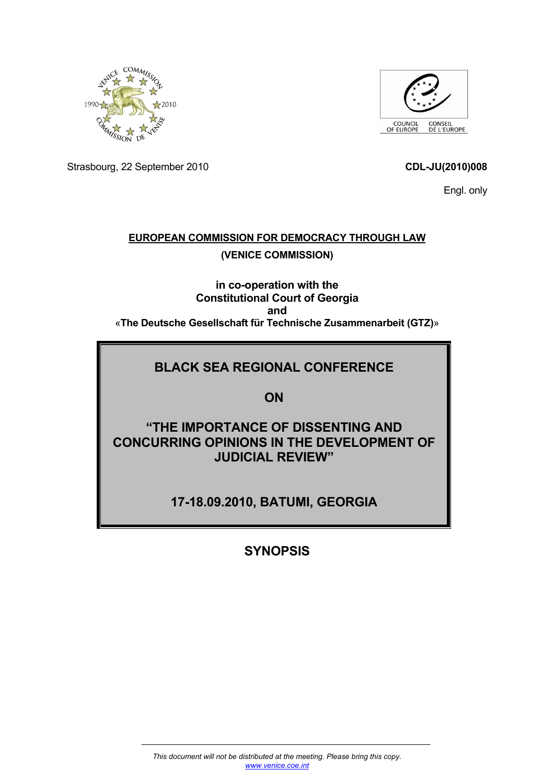



Strasbourg, 22 September 2010 **CDL-JU(2010)008**

Engl. only

## **EUROPEAN COMMISSION FOR DEMOCRACY THROUGH LAW (VENICE COMMISSION)**

**in co-operation with the Constitutional Court of Georgia and** «**The Deutsche Gesellschaft für Technische Zusammenarbeit (GTZ)**»

## **BLACK SEA REGIONAL CONFERENCE**

**ON** 

**"THE IMPORTANCE OF DISSENTING AND CONCURRING OPINIONS IN THE DEVELOPMENT OF JUDICIAL REVIEW"** 

**17-18.09.2010, BATUMI, GEORGIA** 

**SYNOPSIS**